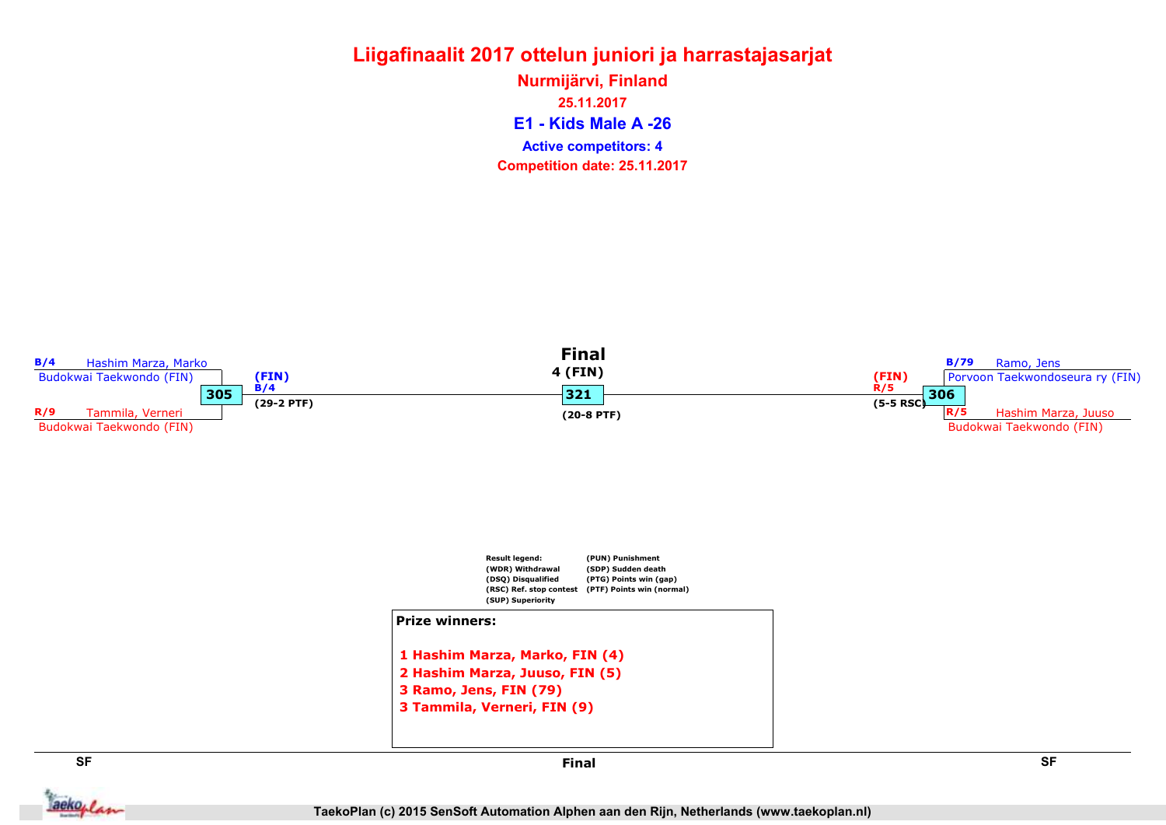E1 - Kids Male A -26 Nurmijärvi, Finland 25.11.2017 Competition date: 25.11.2017 Active competitors: 4



aekoplan

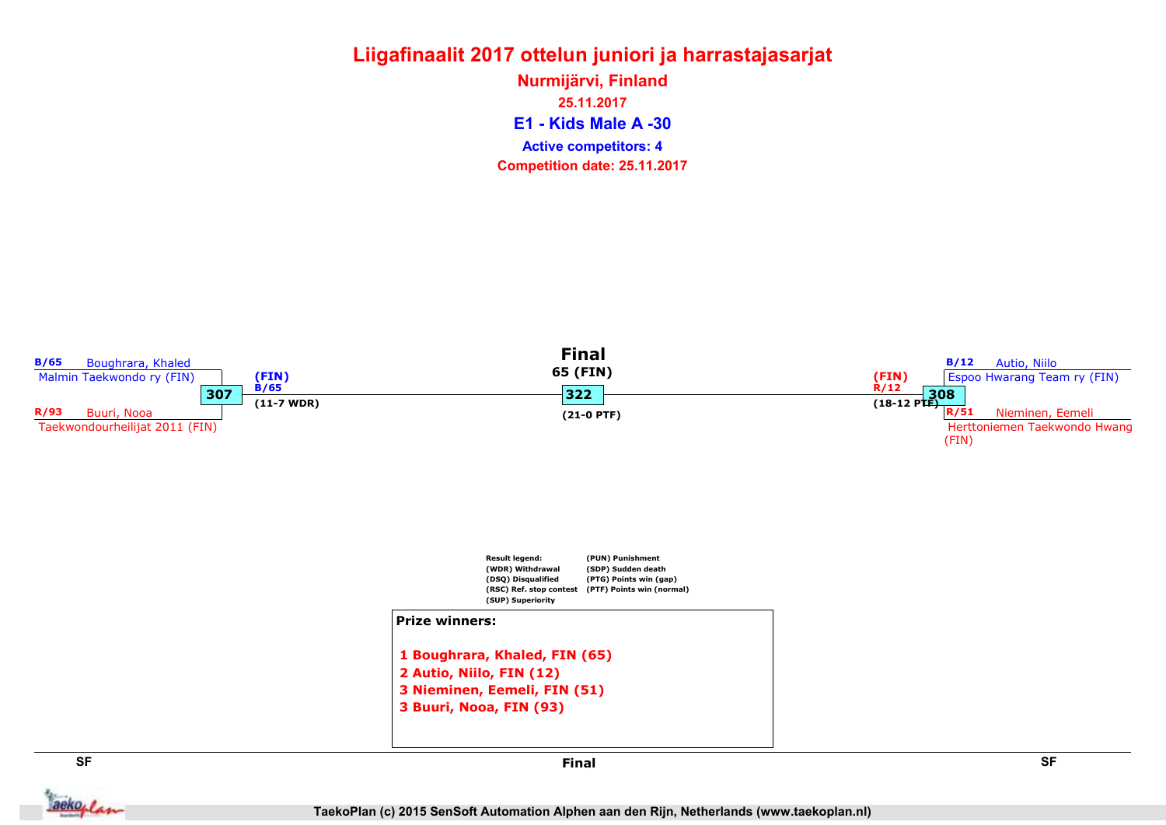E1 - Kids Male A -30 Nurmijärvi, Finland 25.11.2017 Competition date: 25.11.2017 Active competitors: 4

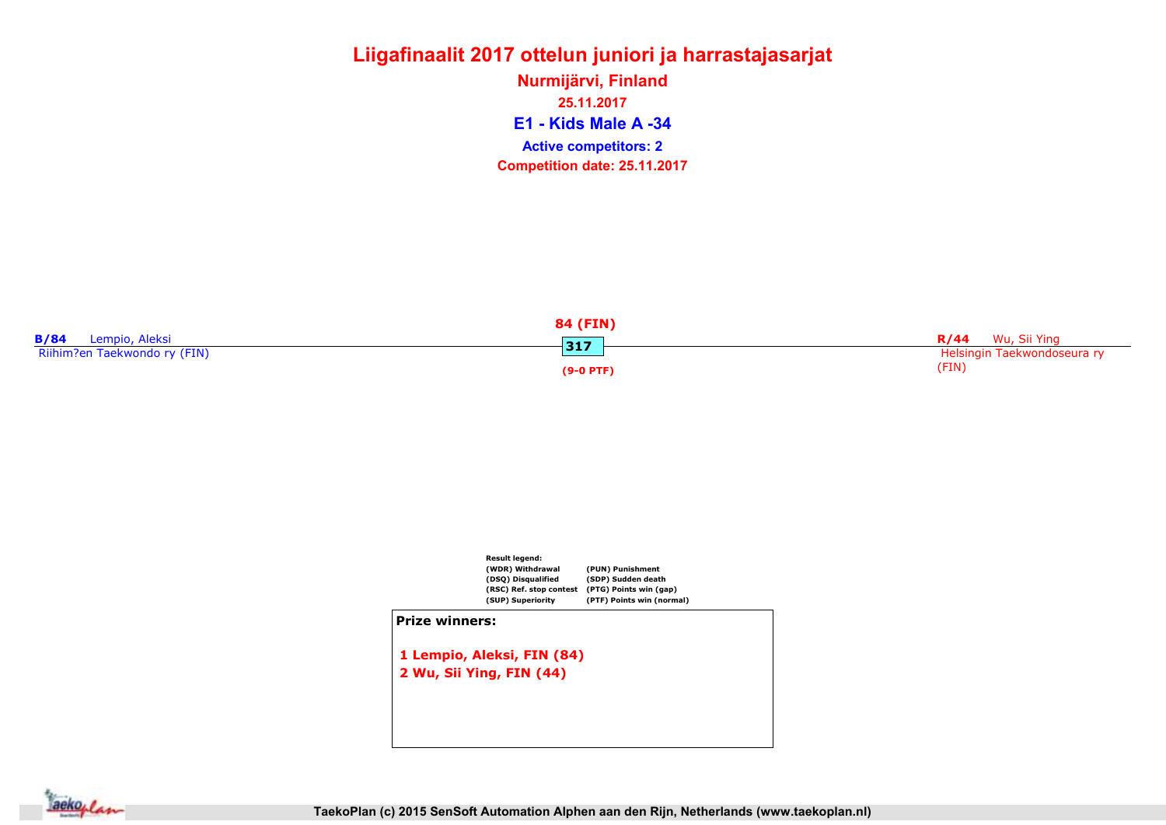E1 - Kids Male A -34 Nurmijärvi, Finland 25.11.2017 Competition date: 25.11.2017 Active competitors: 2

|                               | <b>84 (FIN)</b> |                             |
|-------------------------------|-----------------|-----------------------------|
| Lempio, Aleksi<br><b>B/84</b> | 317             | Wu, Sii Ying<br>R/44        |
| Riihim?en Taekwondo ry (FIN)  |                 | Helsingin Taekwondoseura ry |
|                               | $(9-0$ PTF)     | (FIN)                       |



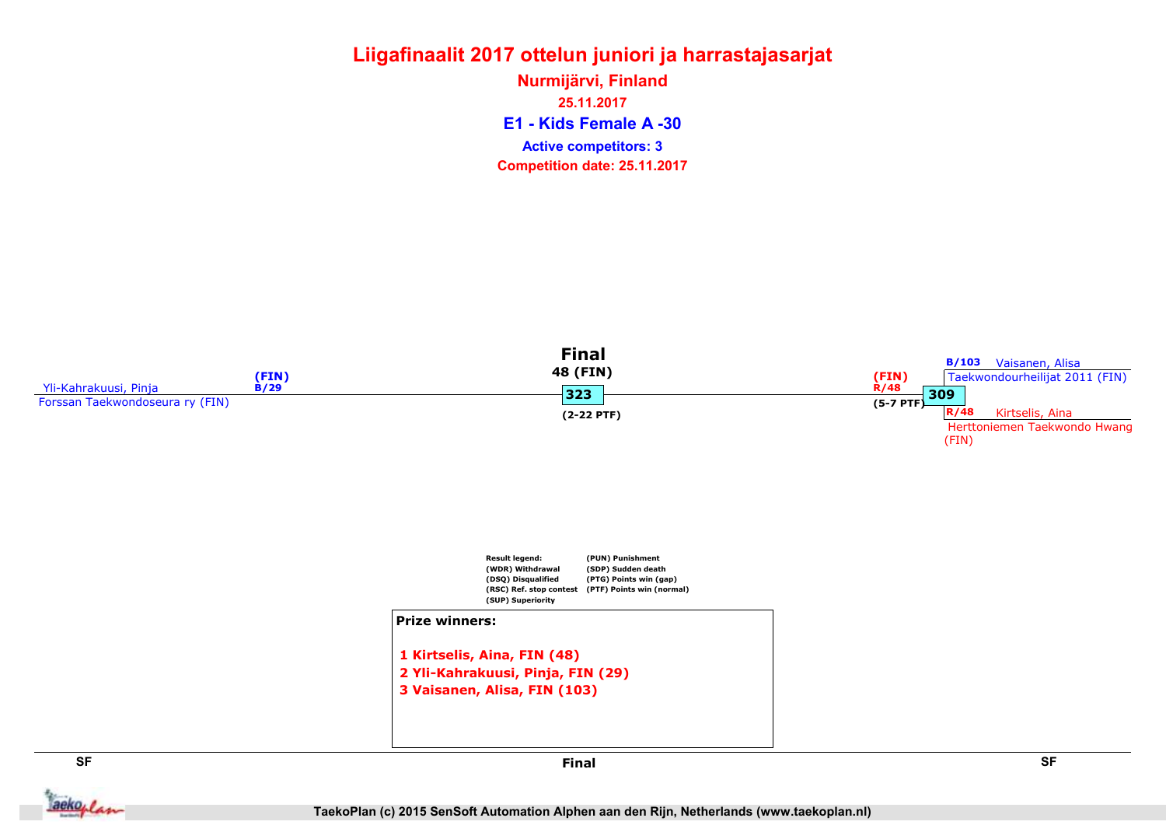### Liigafinaalit 2017 ottelun juniori ja harrastajasarjat E1 - Kids Female A -30 Nurmijärvi, Finland 25.11.2017

Active competitors: 3

Competition date: 25.11.2017



aekoplan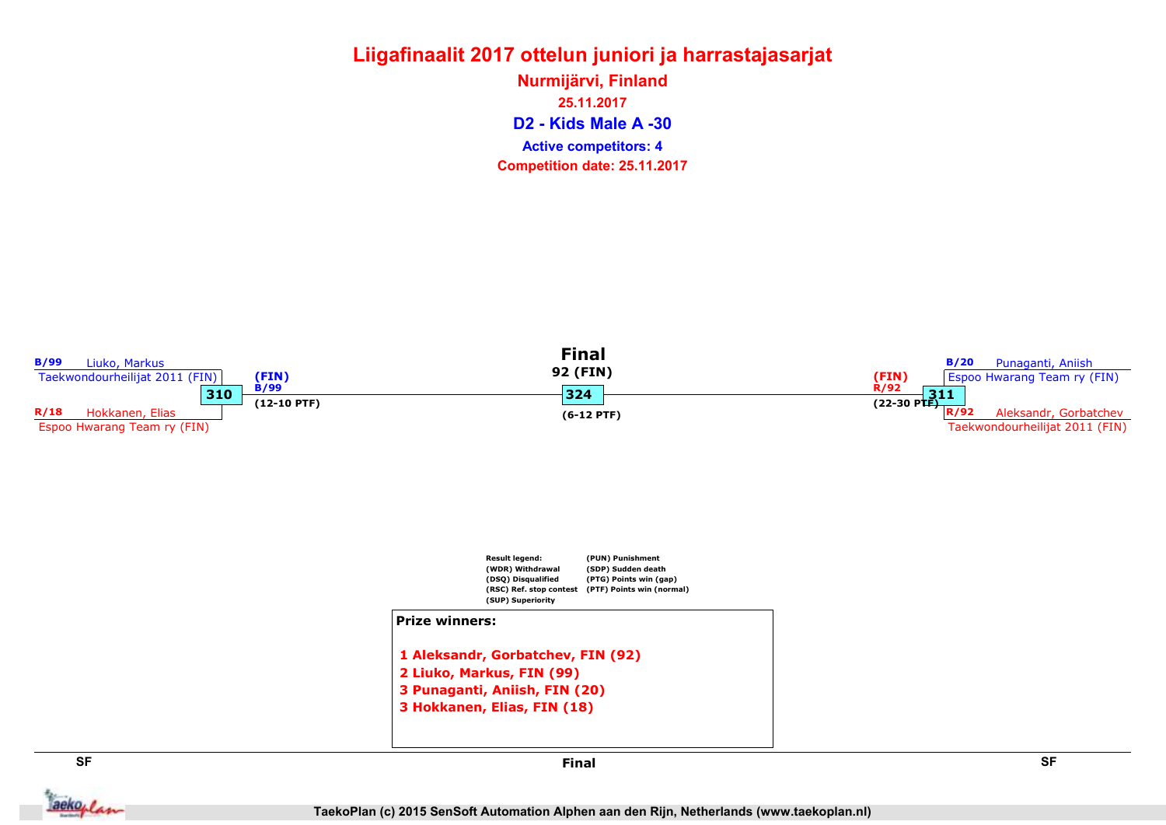D2 - Kids Male A -30 Nurmijärvi, Finland 25.11.2017 Competition date: 25.11.2017 Active competitors: 4

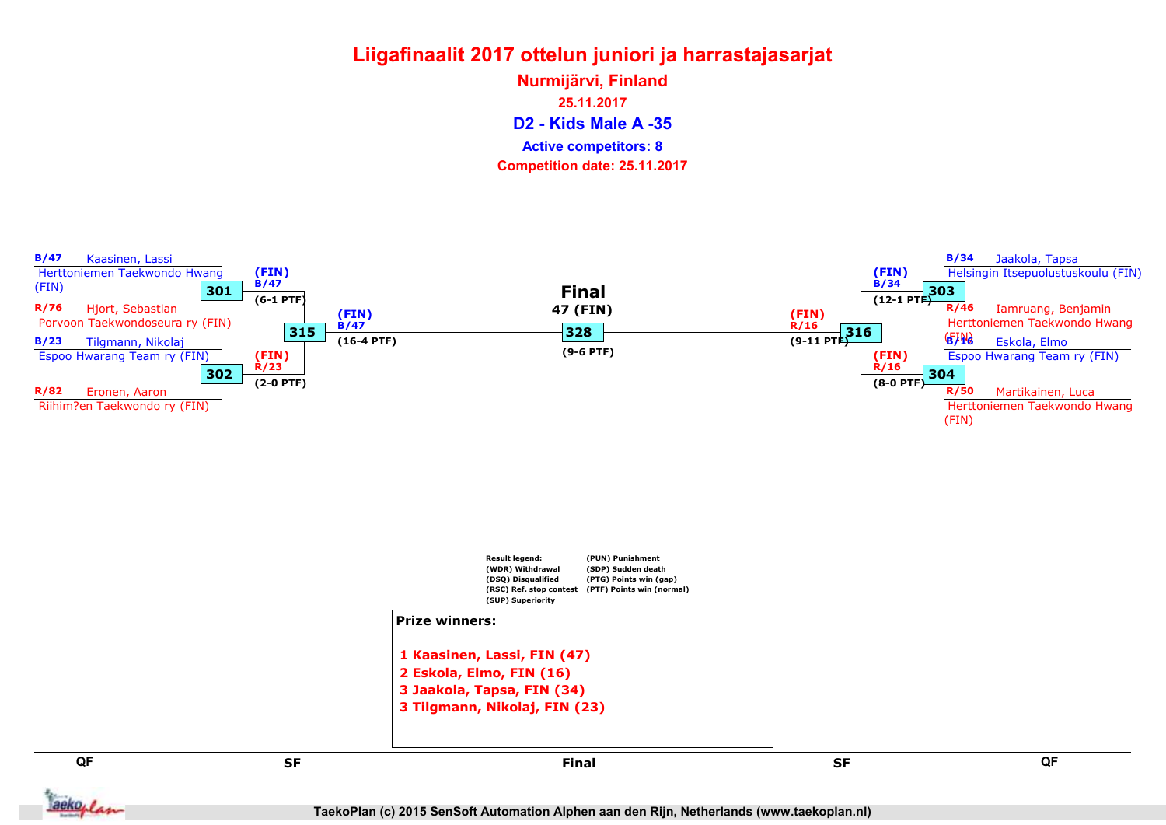D2 - Kids Male A -35 Nurmijärvi, Finland 25.11.2017 Competition date: 25.11.2017 Active competitors: 8





```
2 Eskola, Elmo, FIN (16)
3 Jaakola, Tapsa, FIN (34)
3 Tilgmann, Nikolaj, FIN (23)
```
QF QF



Final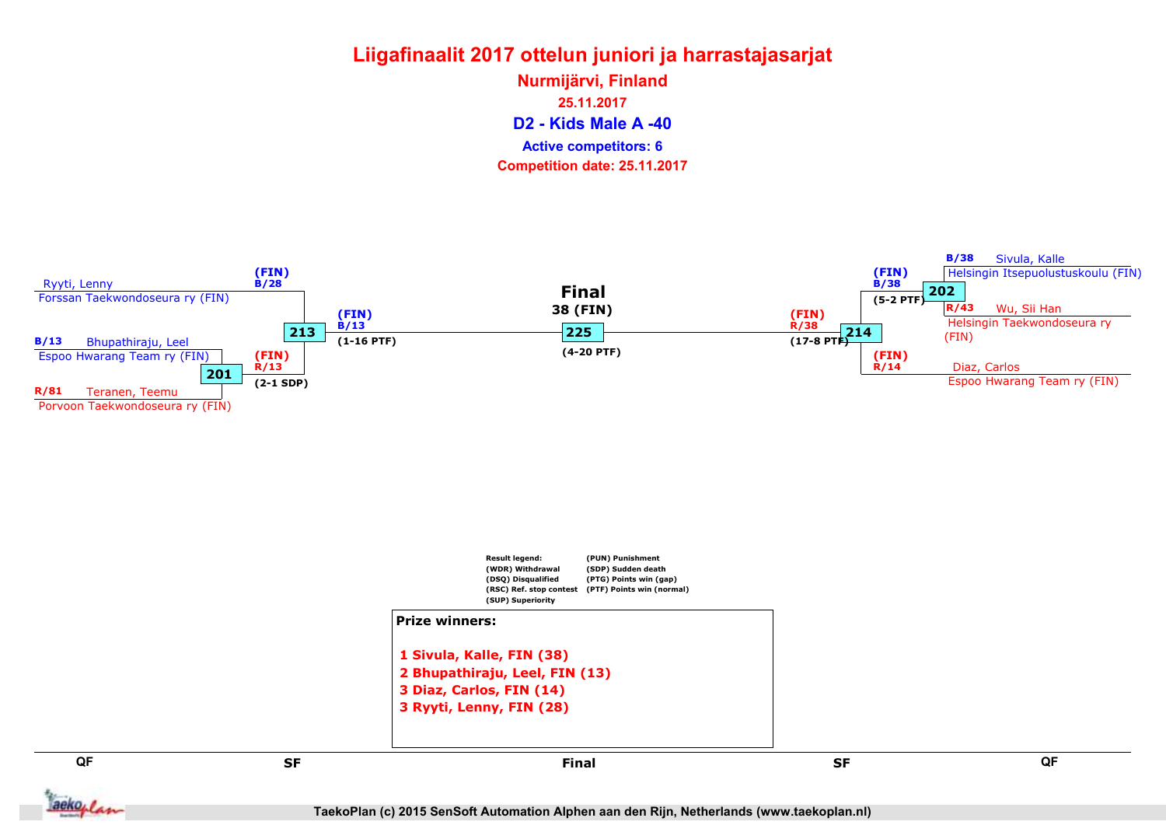D2 - Kids Male A -40 Nurmijärvi, Finland 25.11.2017 Competition date: 25.11.2017 Active competitors: 6



TaekoPlan (c) 2015 SenSoft Automation Alphen aan den Rijn, Netherlands (www.taekoplan.nl)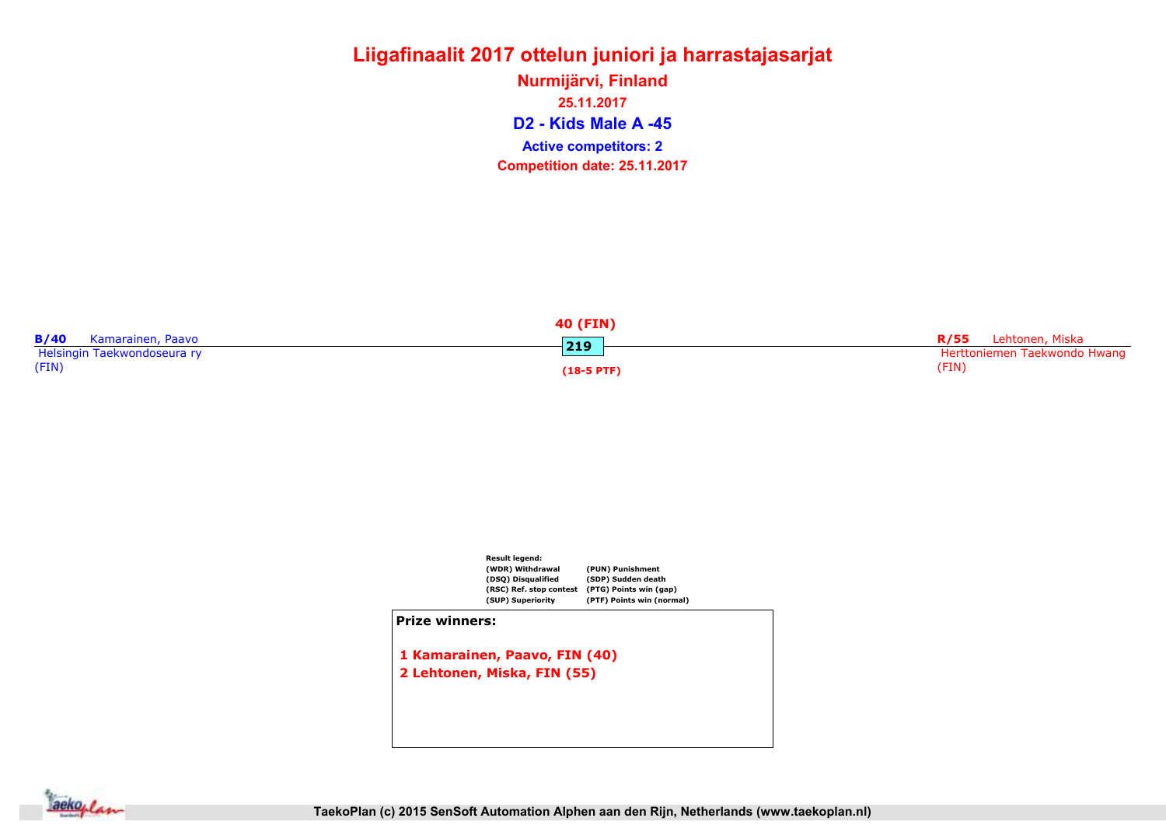D2 - Kids Male A -45 Nurmijärvi, Finland 25.11.2017 Competition date: 25.11.2017 Active competitors: 2

|                             | <b>40 (FIN)</b> |                              |
|-----------------------------|-----------------|------------------------------|
| B/40<br>Kamarainen, Paavo   |                 | R/55 Lehtonen, Miska         |
| Helsingin Taekwondoseura ry | 219             | Herttoniemen Taekwondo Hwang |
| (FIN)                       | $(18-5$ PTF)    | (FIN)                        |



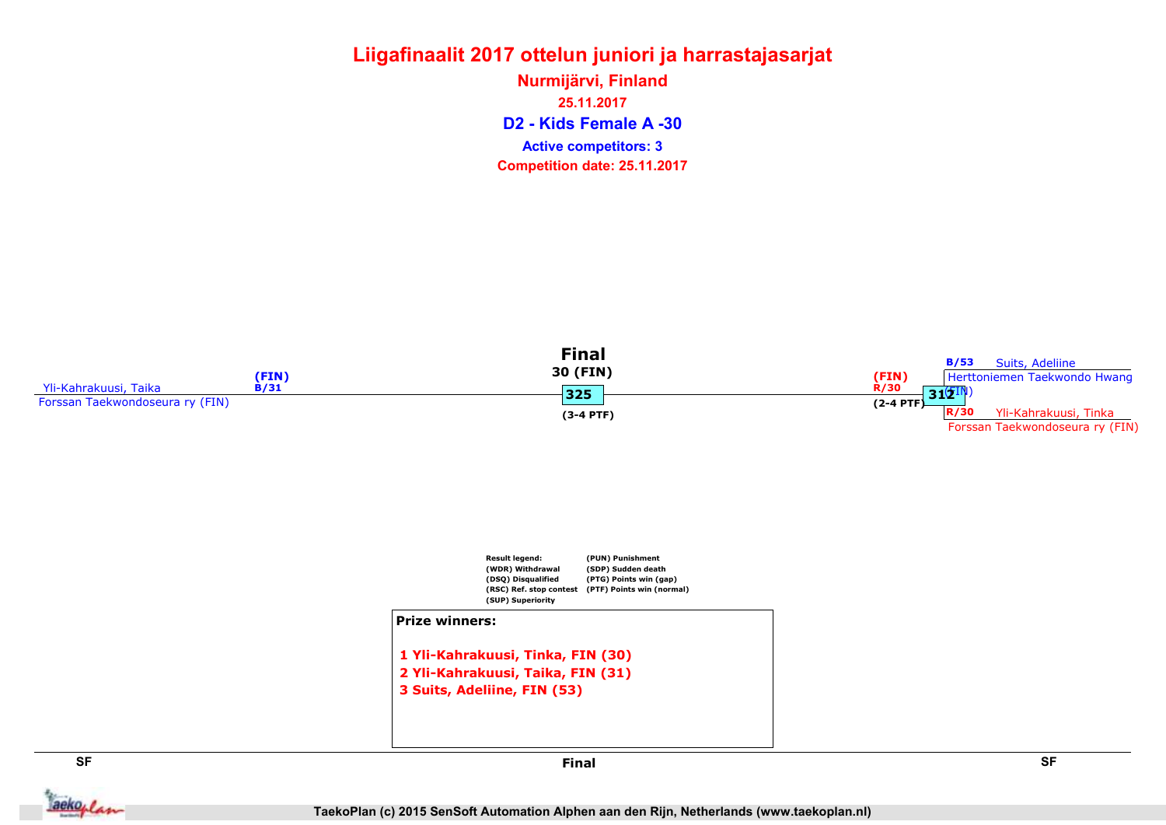## Liigafinaalit 2017 ottelun juniori ja harrastajasarjat Nurmijärvi, Finland

D2 - Kids Female A -30 25.11.2017 Competition date: 25.11.2017 Active competitors: 3





3 Suits, Adeliine, FIN (53)



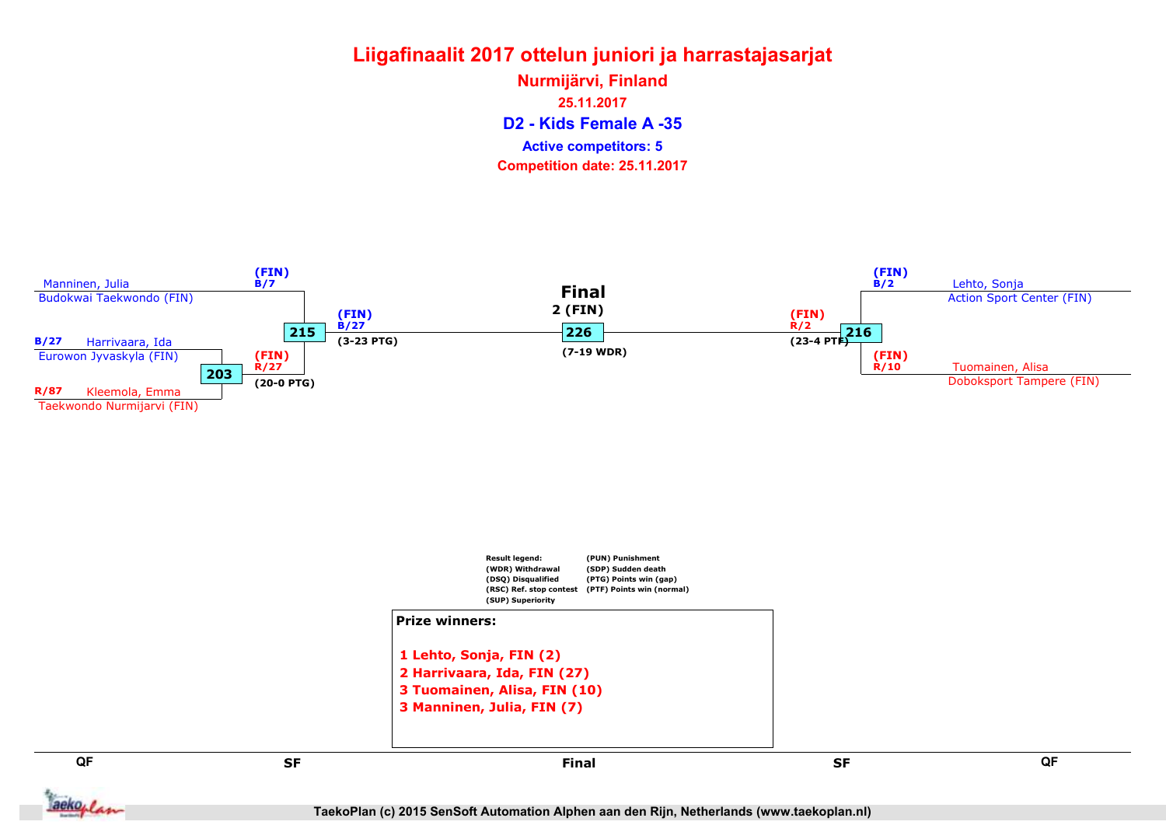D2 - Kids Female A -35 Nurmijärvi, Finland 25.11.2017 Competition date: 25.11.2017 Active competitors: 5

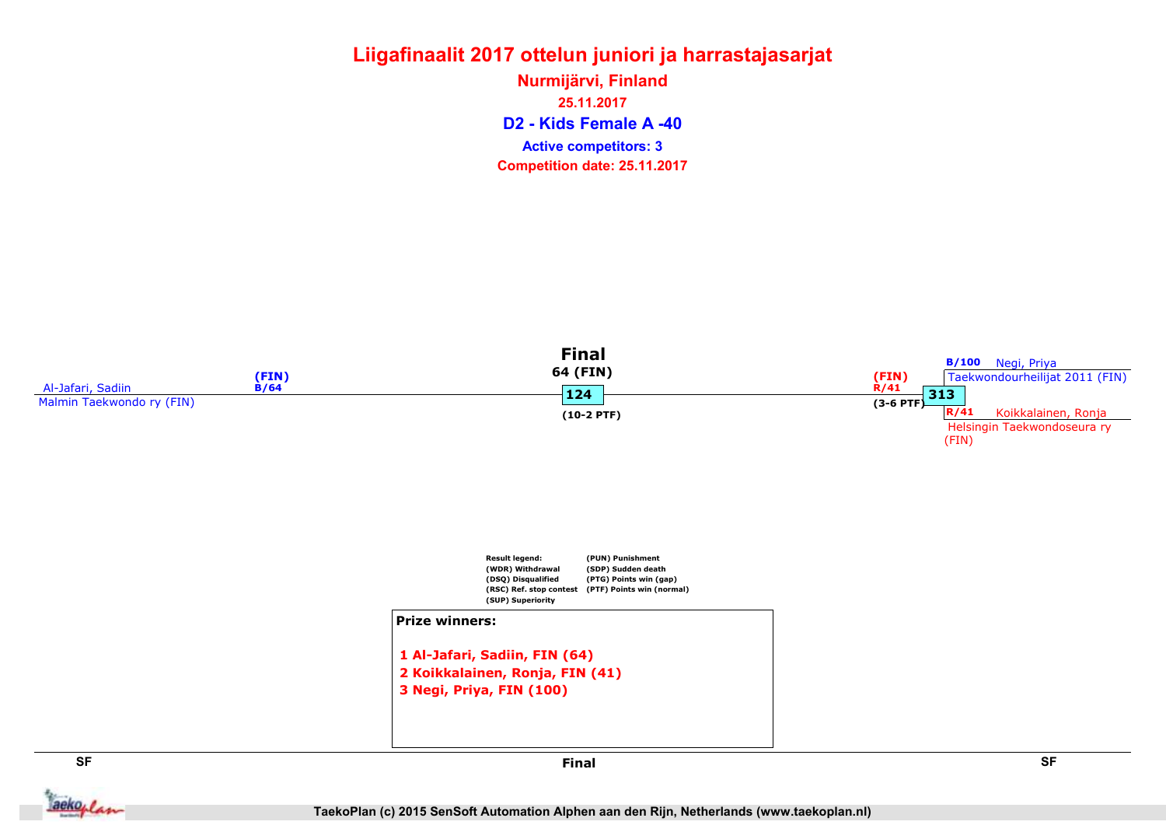### Liigafinaalit 2017 ottelun juniori ja harrastajasarjat D2 - Kids Female A -40 Nurmijärvi, Finland 25.11.2017 Competition date: 25.11.2017 Active competitors: 3

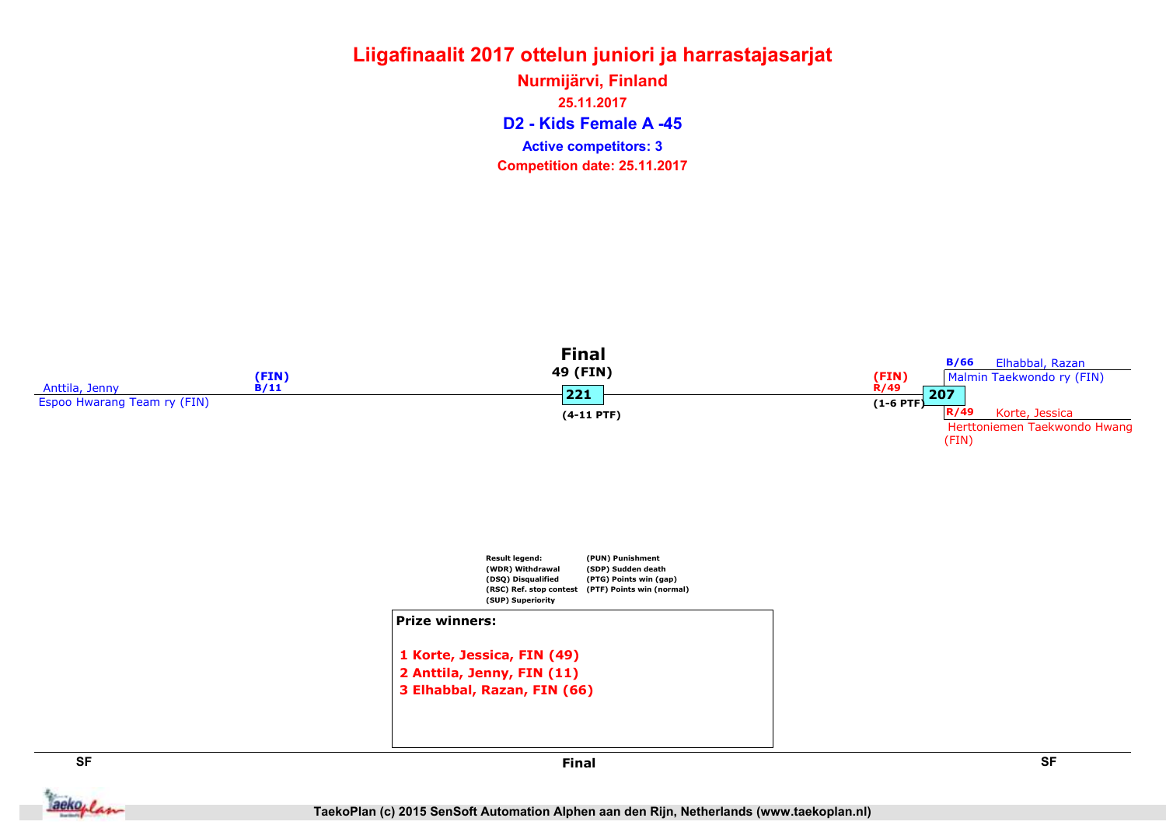### Liigafinaalit 2017 ottelun juniori ja harrastajasarjat D2 - Kids Female A -45 Nurmijärvi, Finland 25.11.2017 Competition date: 25.11.2017 Active competitors: 3



**Jackoplan**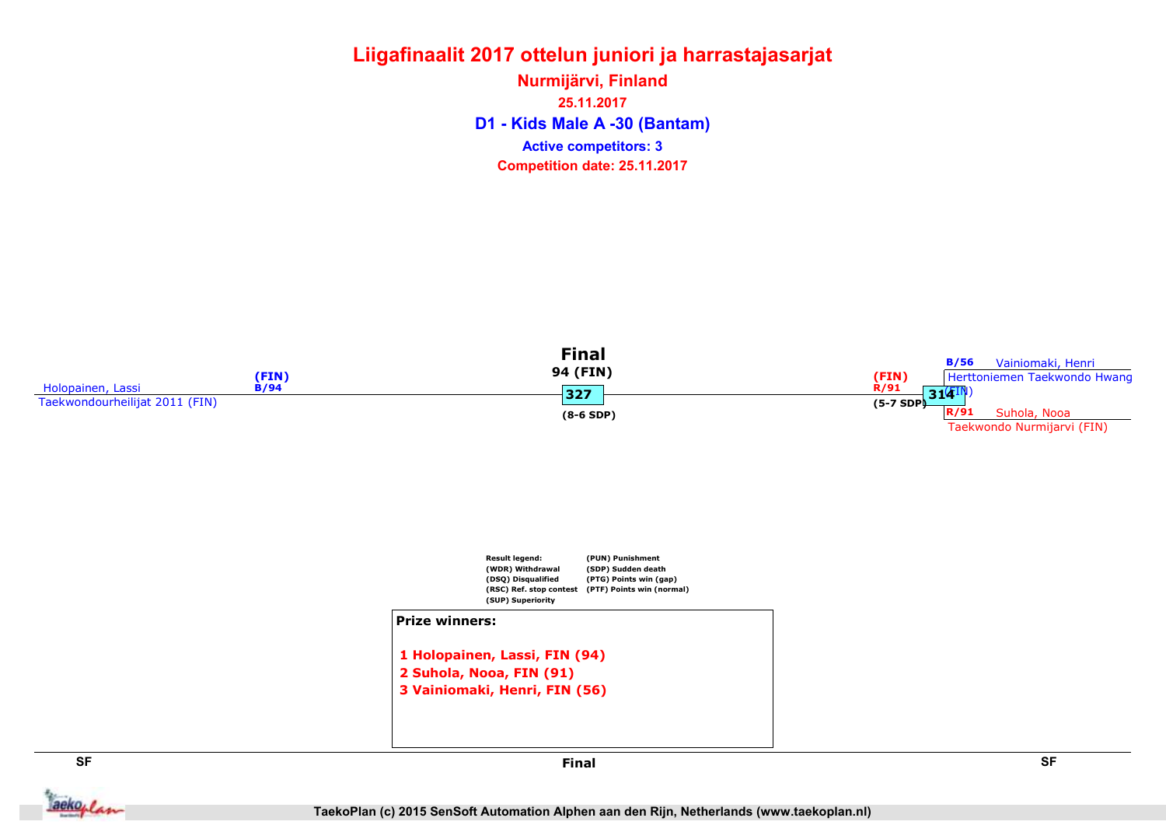### Liigafinaalit 2017 ottelun juniori ja harrastajasarjat D1 - Kids Male A -30 (Bantam) Nurmijärvi, Finland 25.11.2017 Competition date: 25.11.2017 Active competitors: 3



**Jackoplan** 

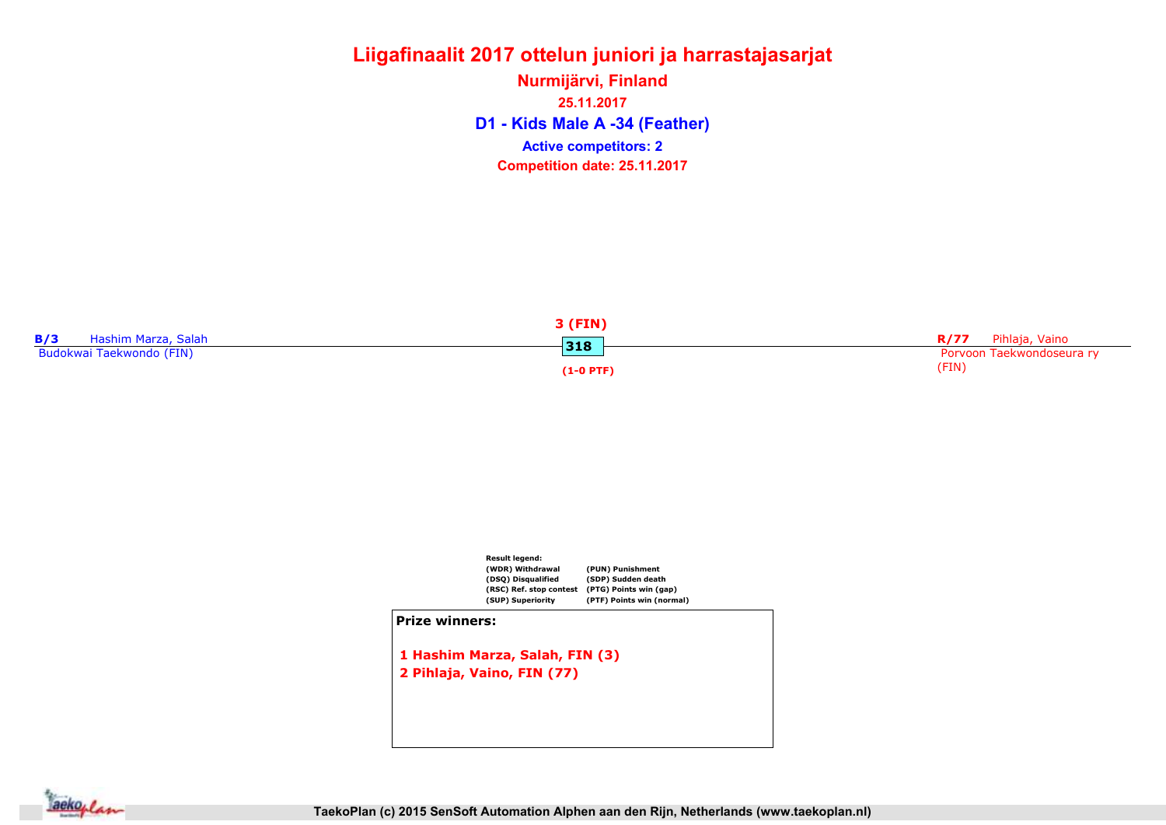### Liigafinaalit 2017 ottelun juniori ja harrastajasarjat Nurmijärvi, Finland

D1 - Kids Male A -34 (Feather) 25.11.2017 Competition date: 25.11.2017 Active competitors: 2

|                            | 3 (FIN)     |                           |
|----------------------------|-------------|---------------------------|
| B/3<br>Hashim Marza, Salah | 318         | Pihlaja, Vaino<br>R/77    |
| Budokwai Taekwondo (FIN)   |             | Porvoon Taekwondoseura ry |
|                            | $(1-0$ PTF) | 'FIN)                     |



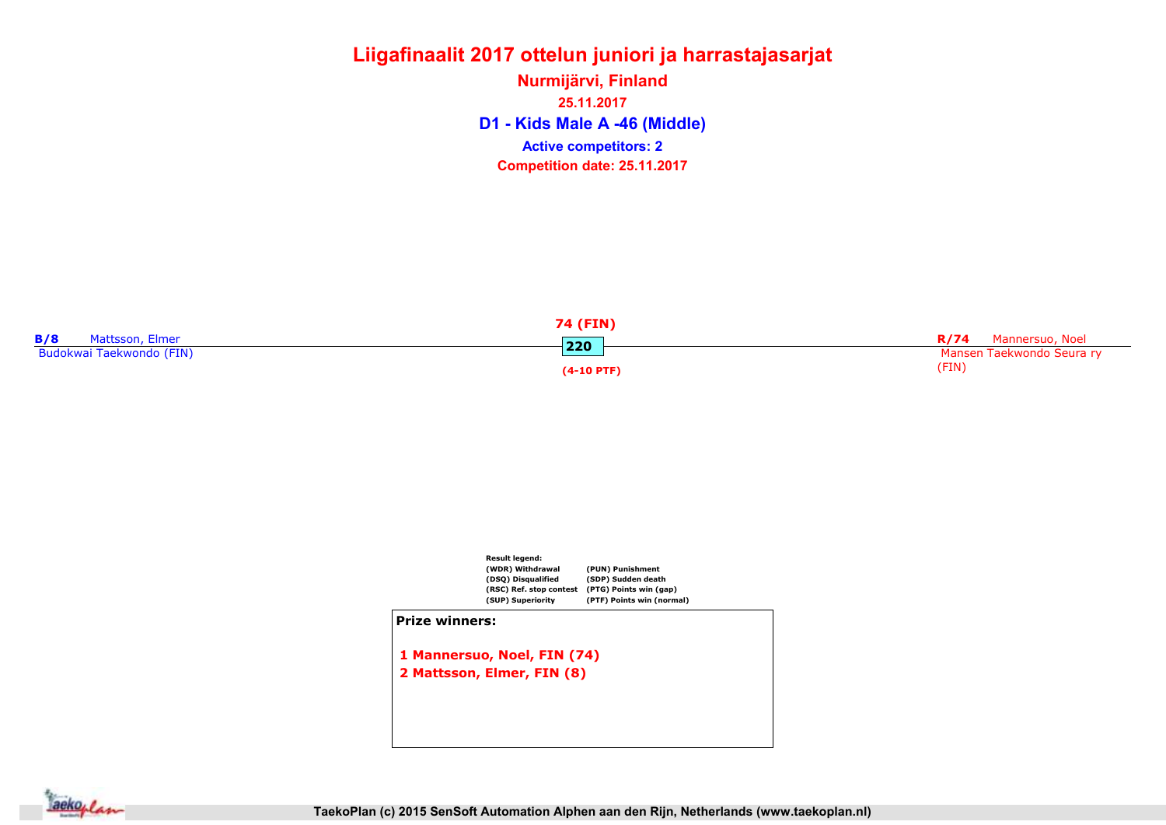D1 - Kids Male A -46 (Middle) Nurmijärvi, Finland 25.11.2017 Competition date: 25.11.2017 Active competitors: 2





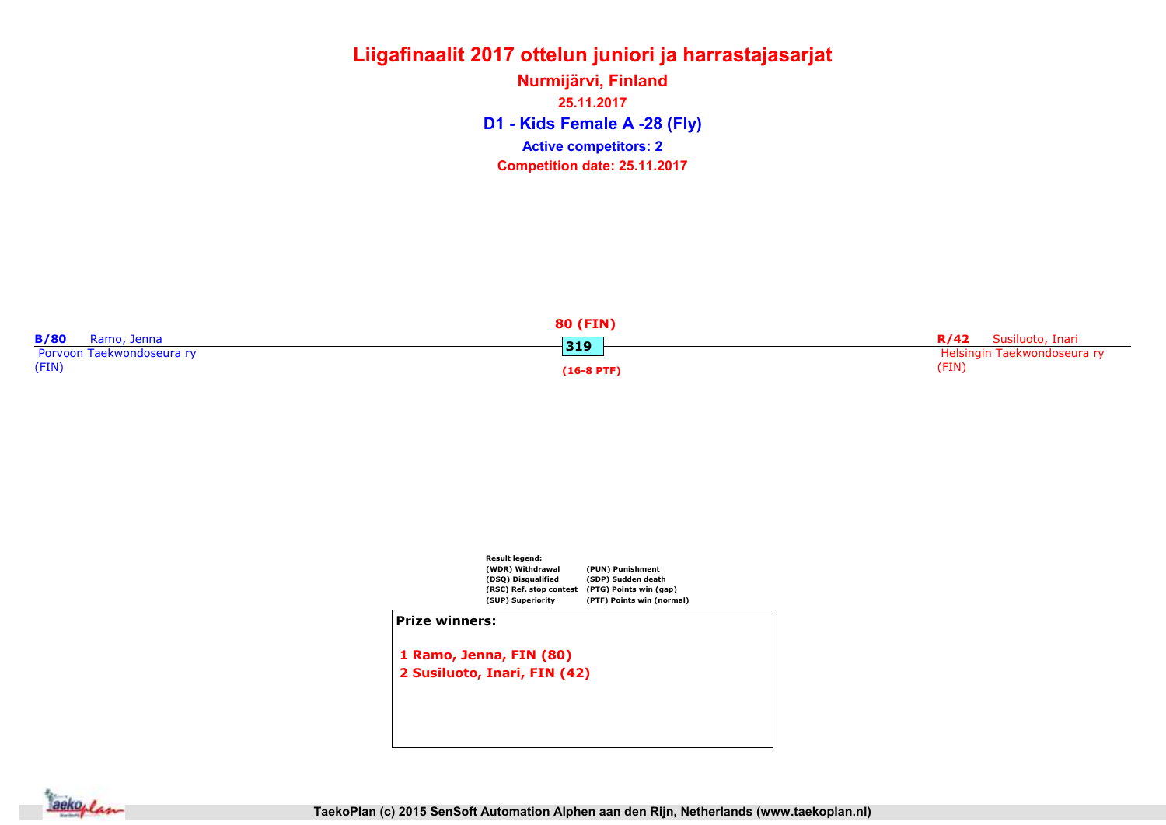D1 - Kids Female A -28 (Fly) Nurmijärvi, Finland 25.11.2017 Competition date: 25.11.2017 Active competitors: 2





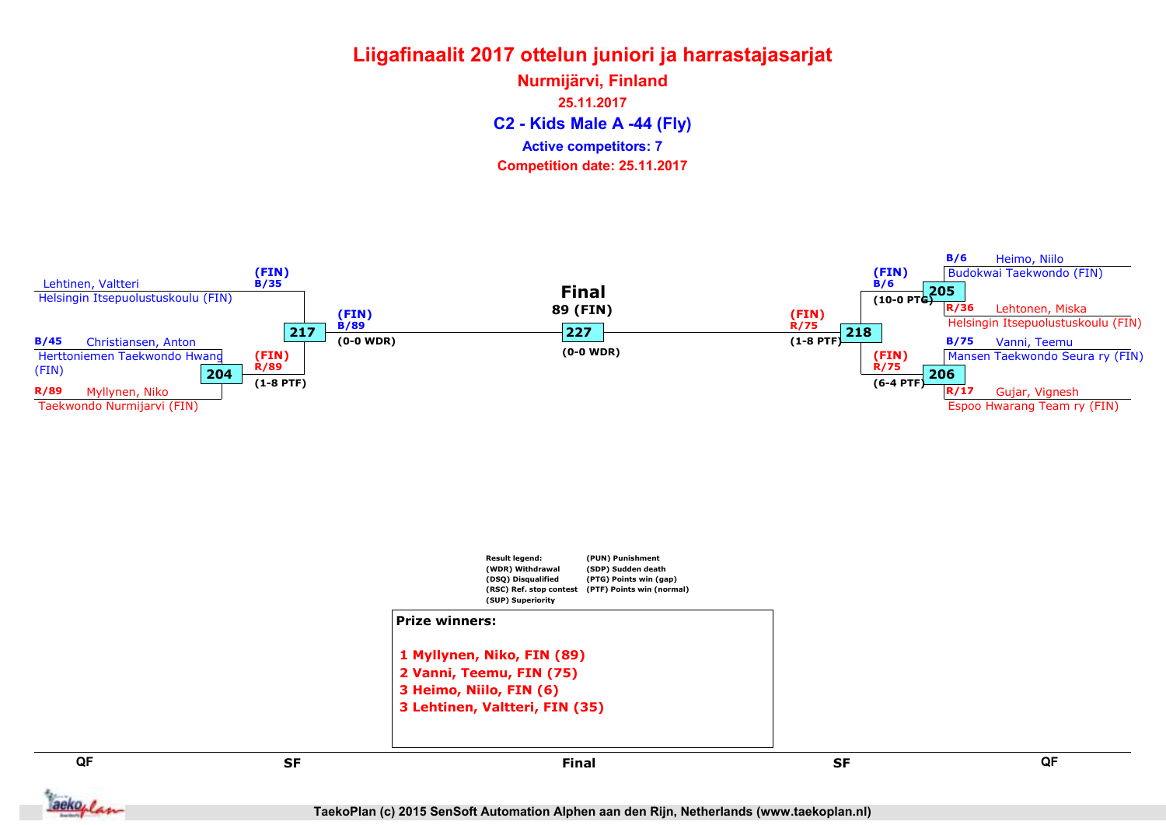C2 - Kids Male A -44 (Fly) Nurmijärvi, Finland 25.11.2017 Competition date: 25.11.2017 Active competitors: 7

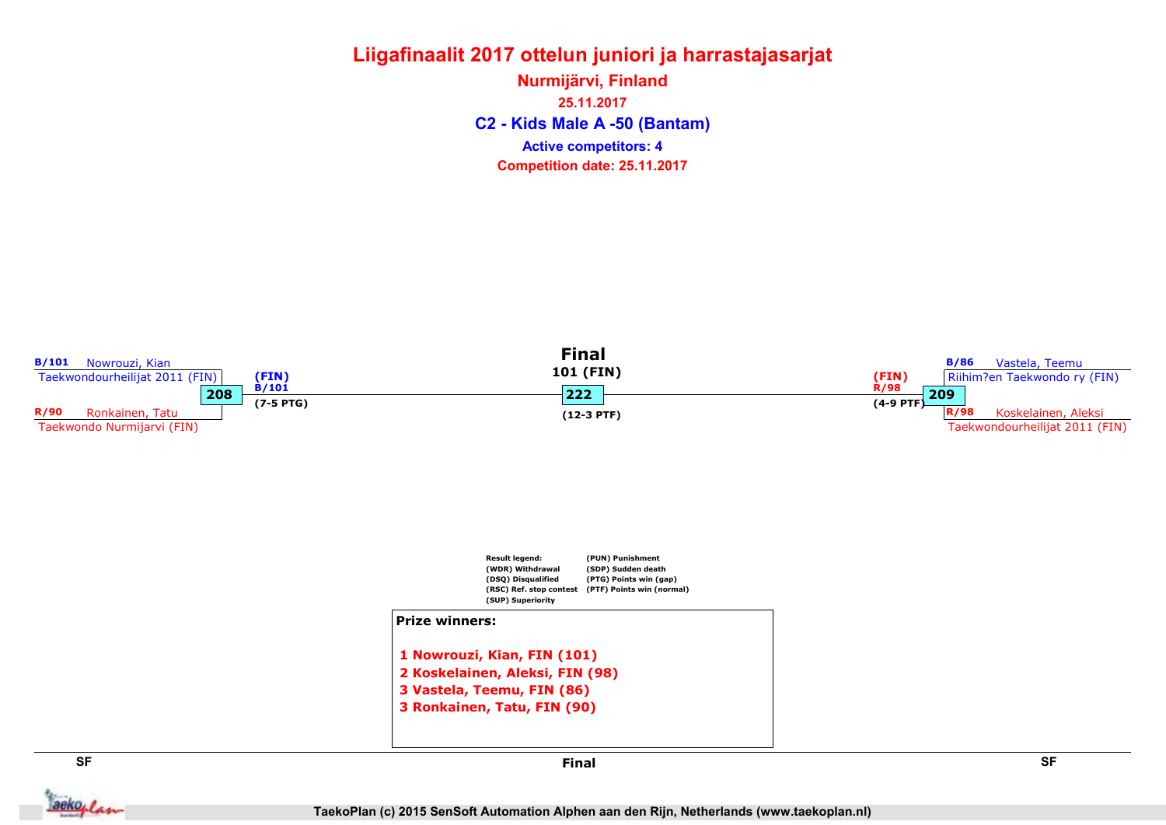C2 - Kids Male A -50 (Bantam) Nurmijärvi, Finland 25.11.2017 Competition date: 25.11.2017 Active competitors: 4



aekoplan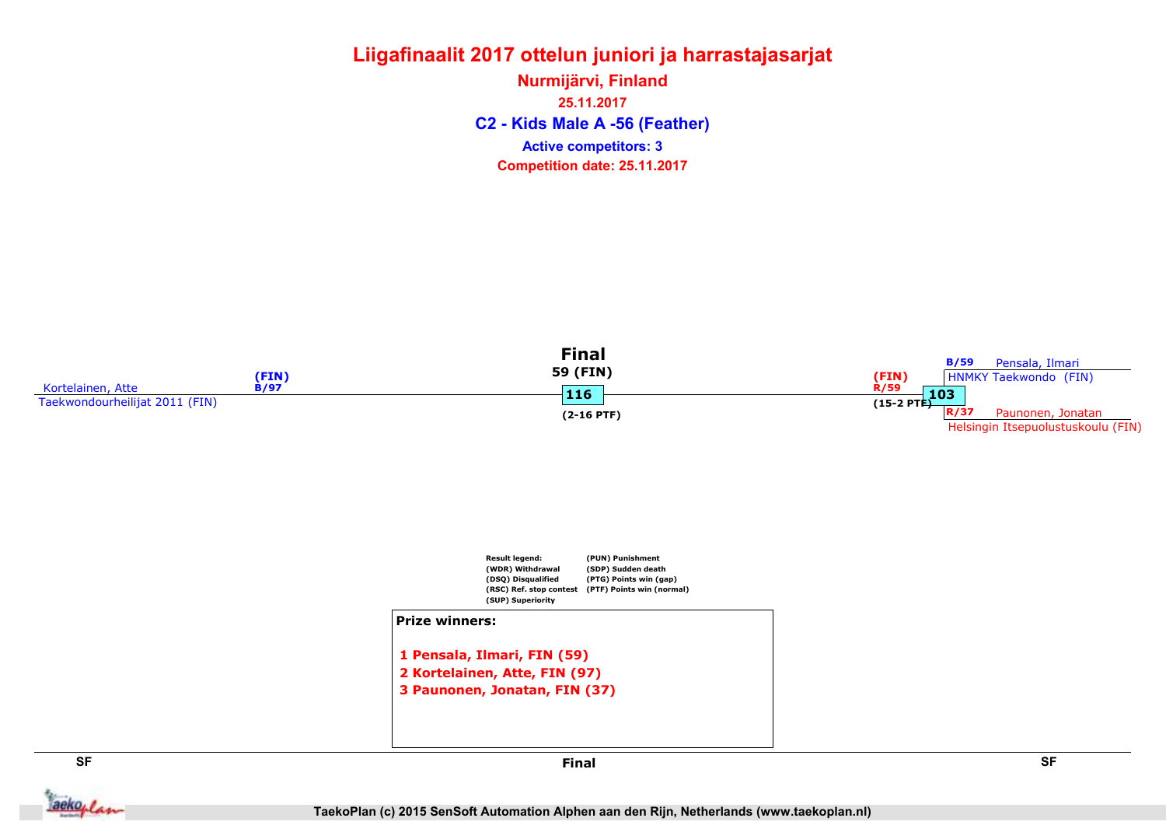### Liigafinaalit 2017 ottelun juniori ja harrastajasarjat Nurmijärvi, Finland

C2 - Kids Male A -56 (Feather) 25.11.2017 Competition date: 25.11.2017 Active competitors: 3







aekoplan

SF SF Final

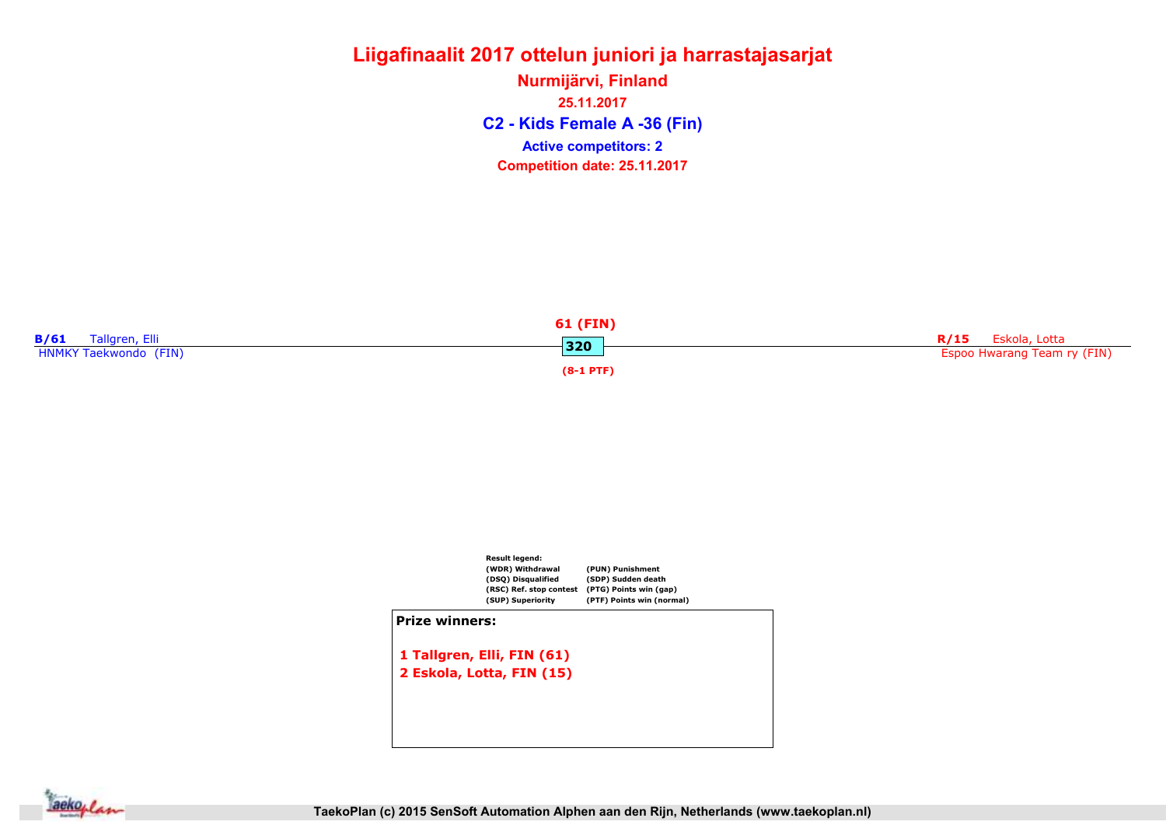C2 - Kids Female A -36 (Fin) Nurmijärvi, Finland 25.11.2017 Competition date: 25.11.2017 Active competitors: 2





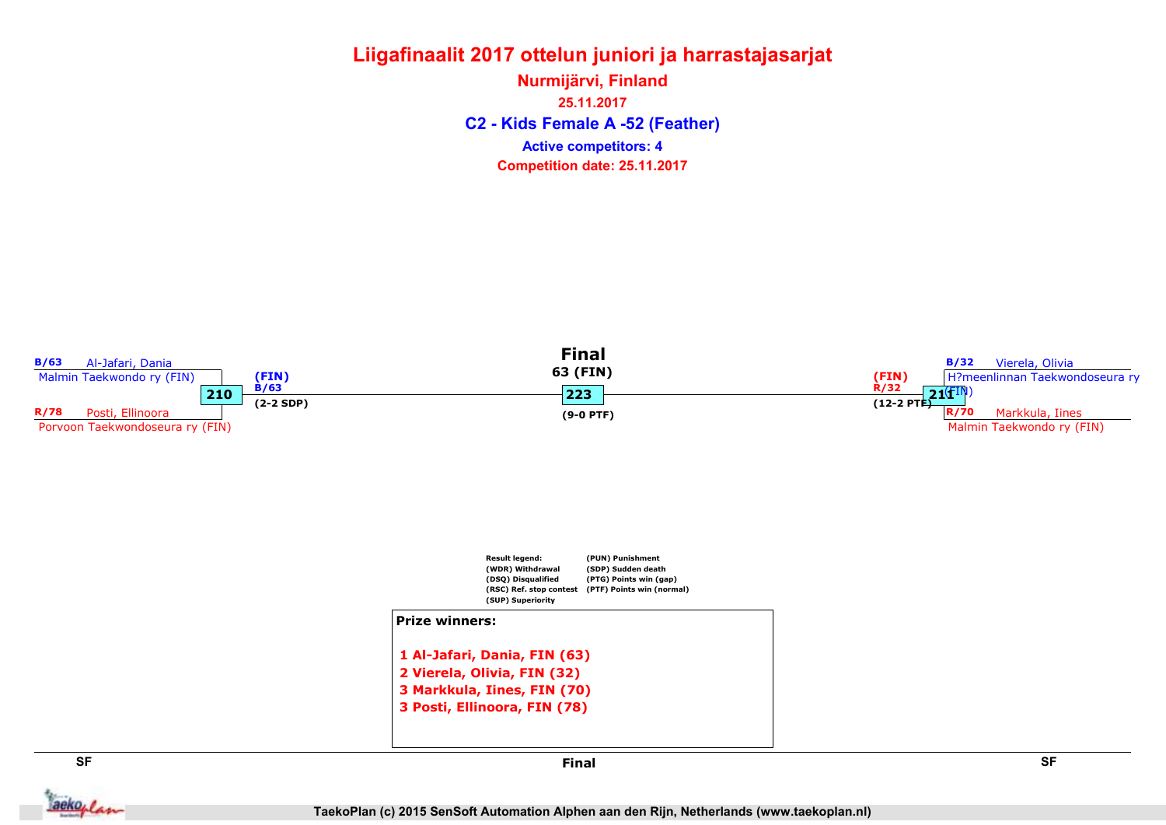### Liigafinaalit 2017 ottelun juniori ja harrastajasarjat C2 - Kids Female A -52 (Feather) Nurmijärvi, Finland 25.11.2017

Active competitors: 4

Competition date: 25.11.2017



aekoplan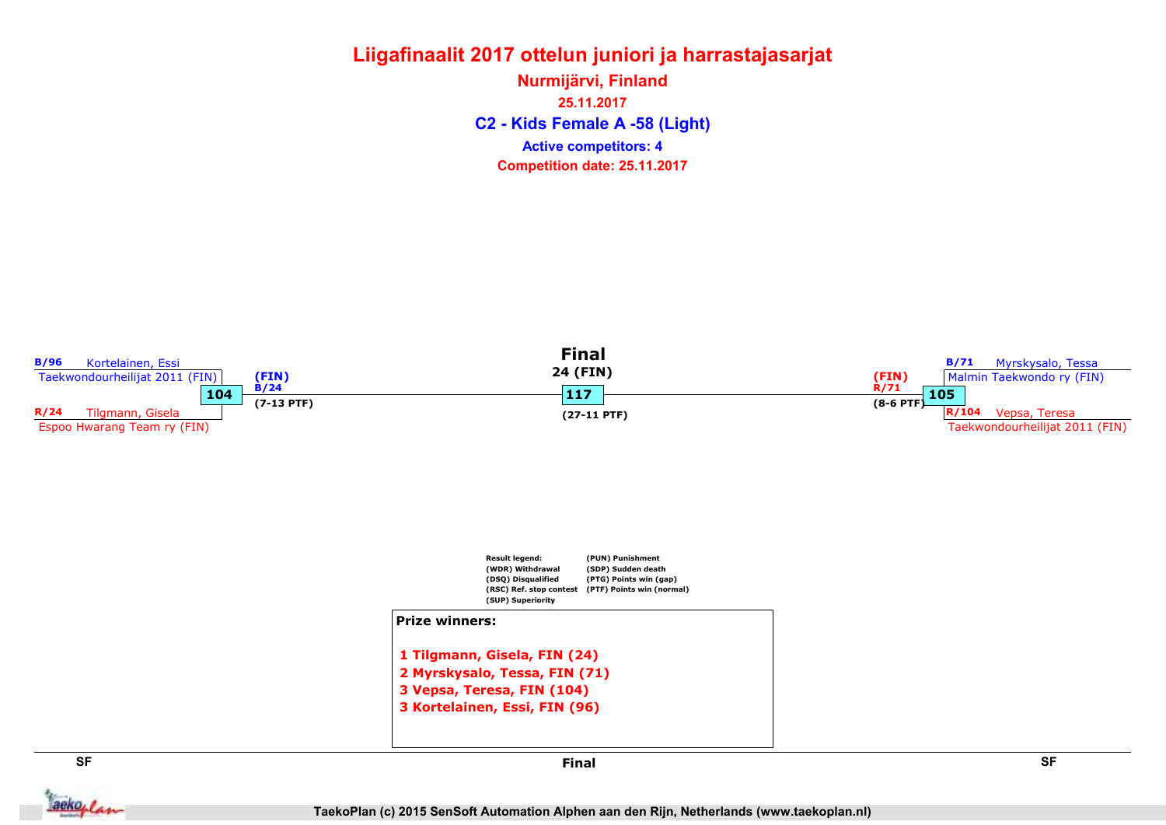C2 - Kids Female A -58 (Light) Nurmijärvi, Finland 25.11.2017 Competition date: 25.11.2017 Active competitors: 4



aekoplan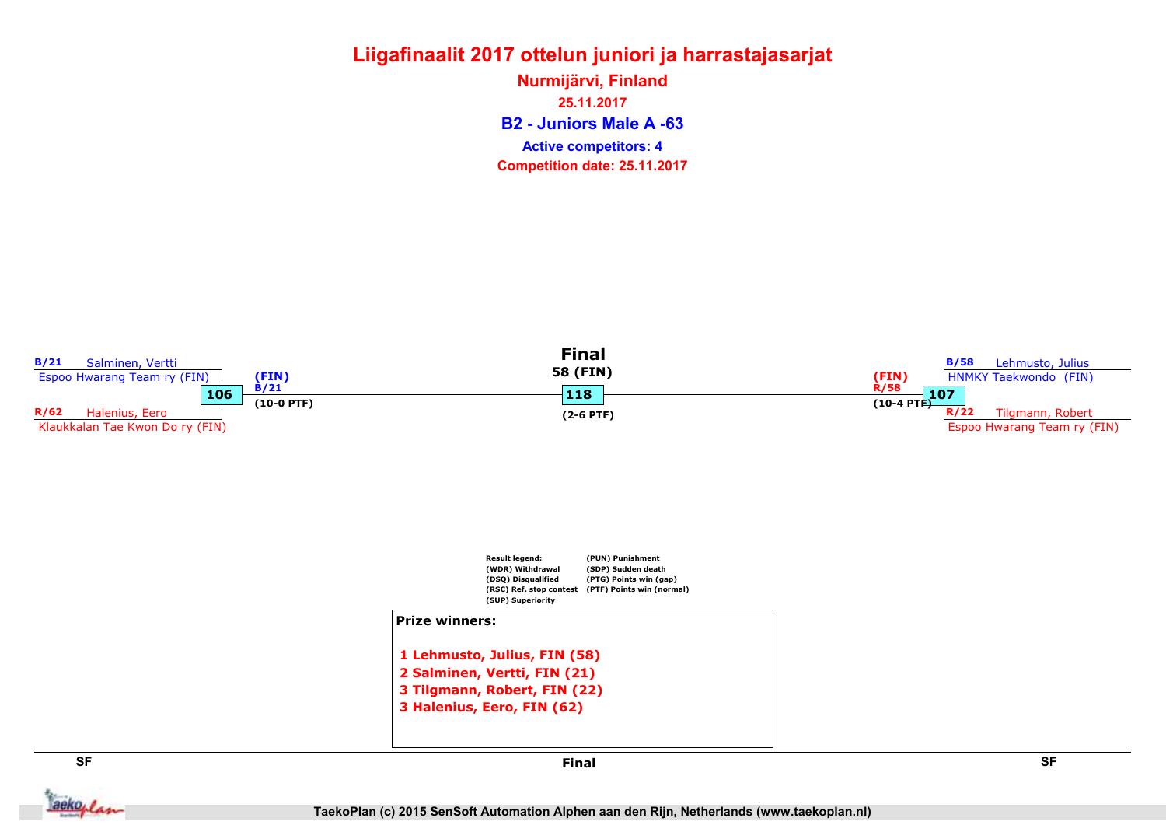B2 - Juniors Male A -63 Nurmijärvi, Finland 25.11.2017 Competition date: 25.11.2017 Active competitors: 4

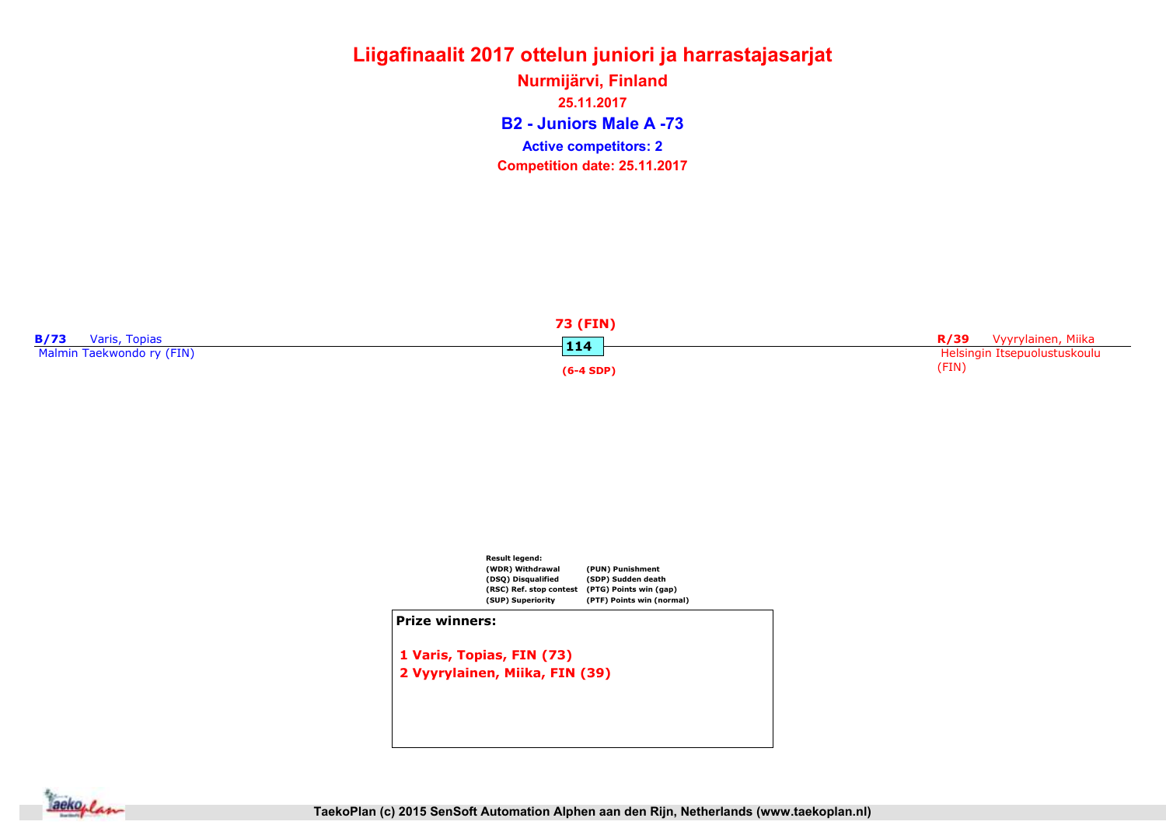B2 - Juniors Male A -73 Nurmijärvi, Finland 25.11.2017 Competition date: 25.11.2017 Active competitors: 2





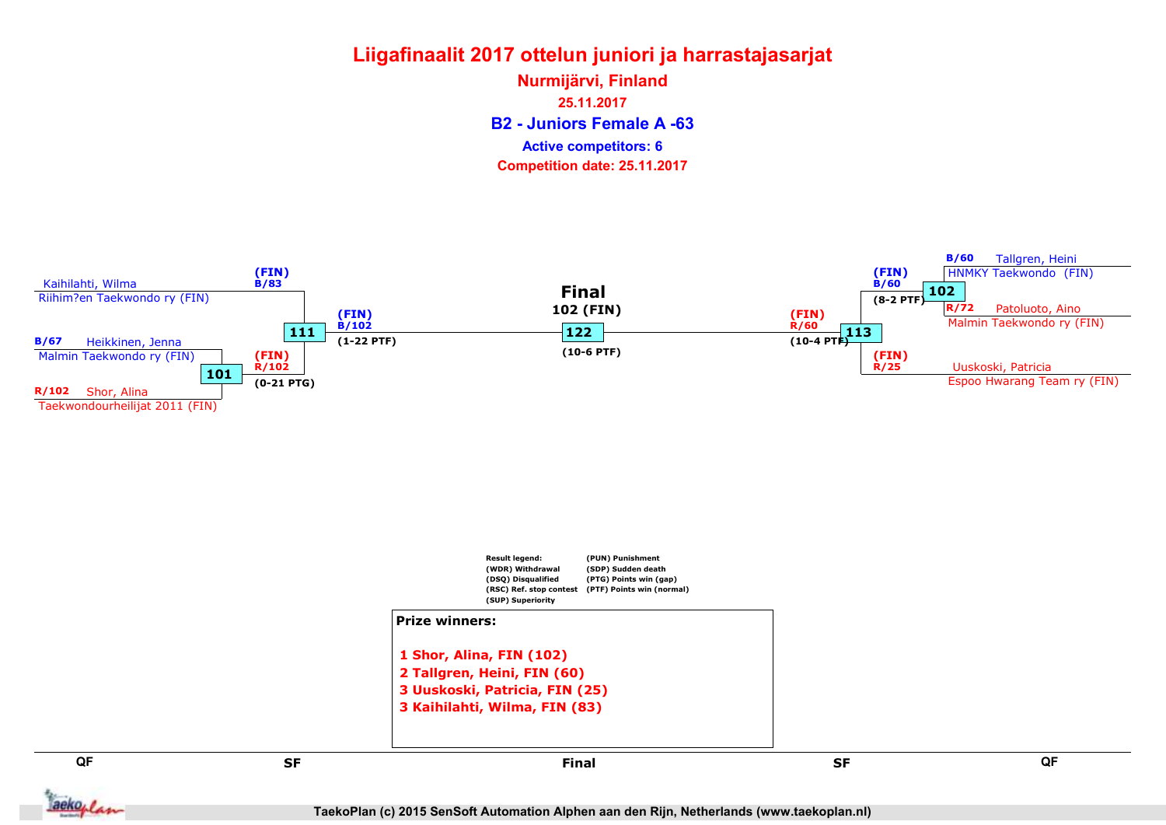B2 - Juniors Female A -63 Nurmijärvi, Finland 25.11.2017 Competition date: 25.11.2017 Active competitors: 6

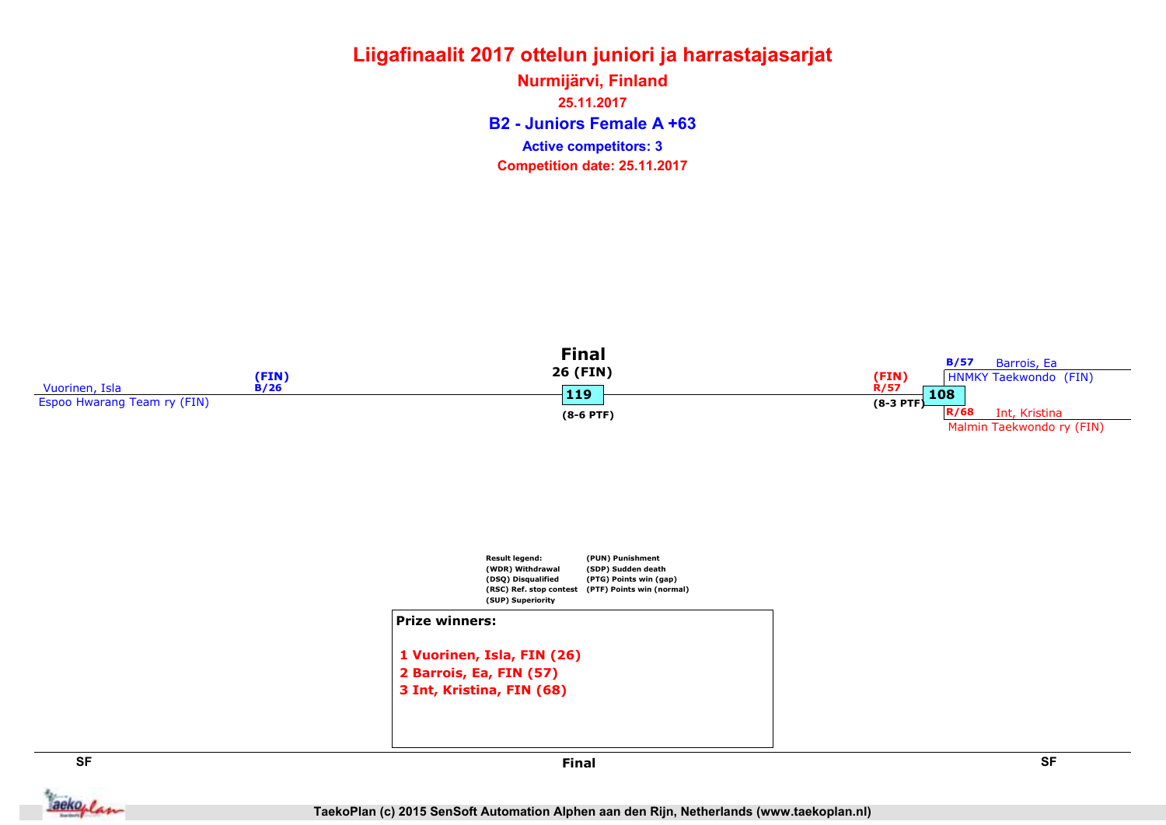B2 - Juniors Female A +63 Nurmijärvi, Finland 25.11.2017 Competition date: 25.11.2017 Active competitors: 3





```
2 Barrois, Ea, FIN (57)
3 Int, Kristina, FIN (68)
```




**Jackoplan**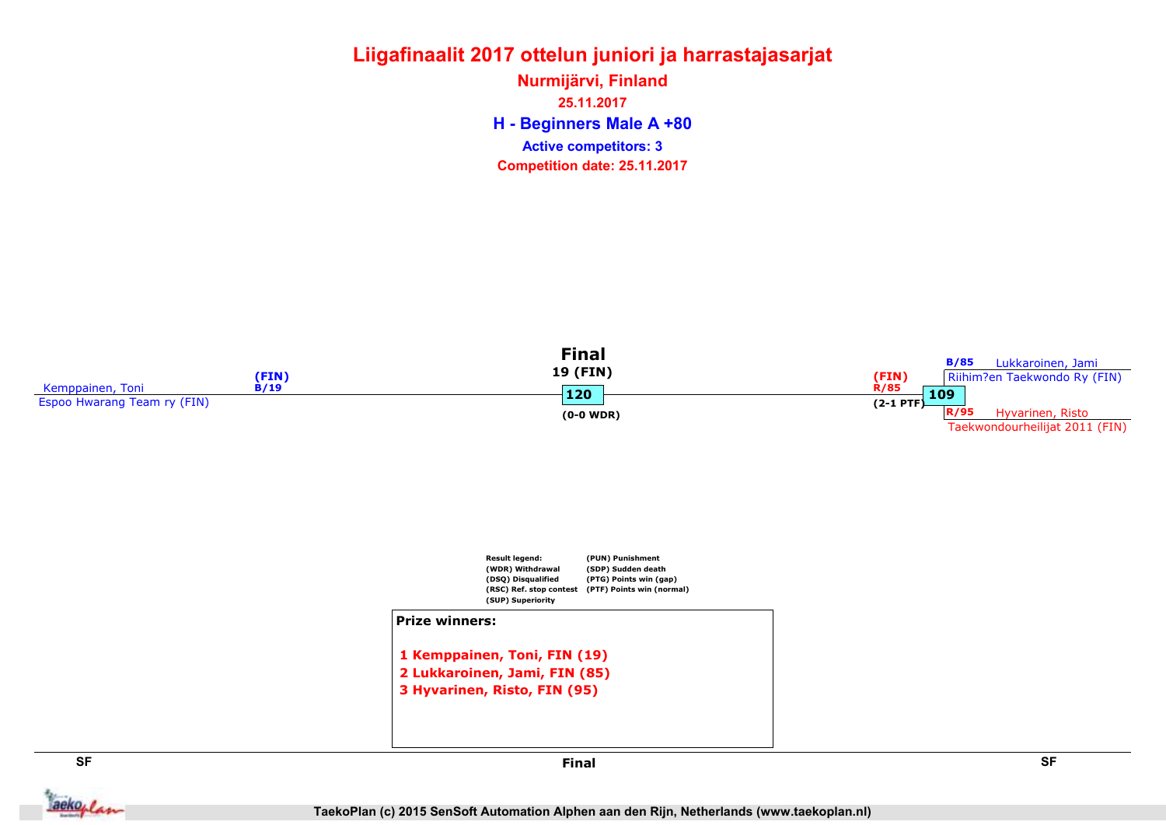H - Beginners Male A +80 Nurmijärvi, Finland 25.11.2017 Competition date: 25.11.2017 Active competitors: 3



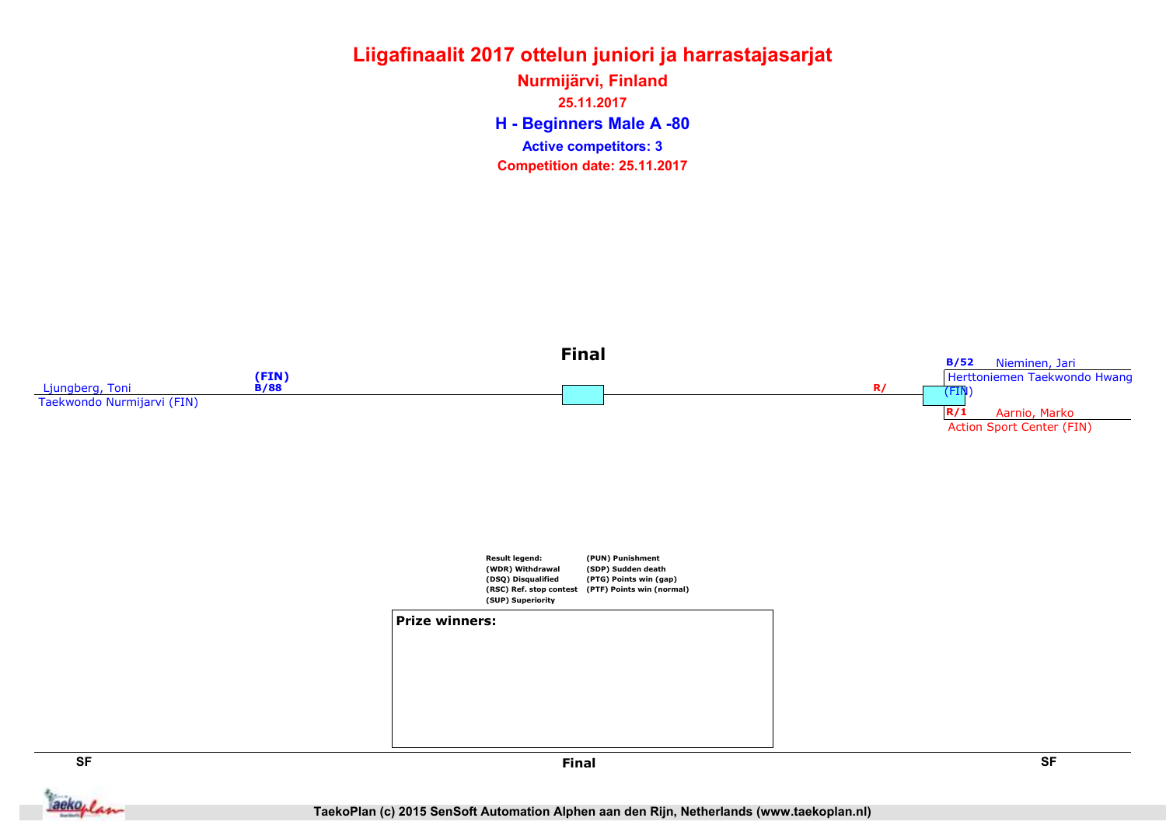H - Beginners Male A -80 Nurmijärvi, Finland 25.11.2017 Competition date: 25.11.2017 Active competitors: 3



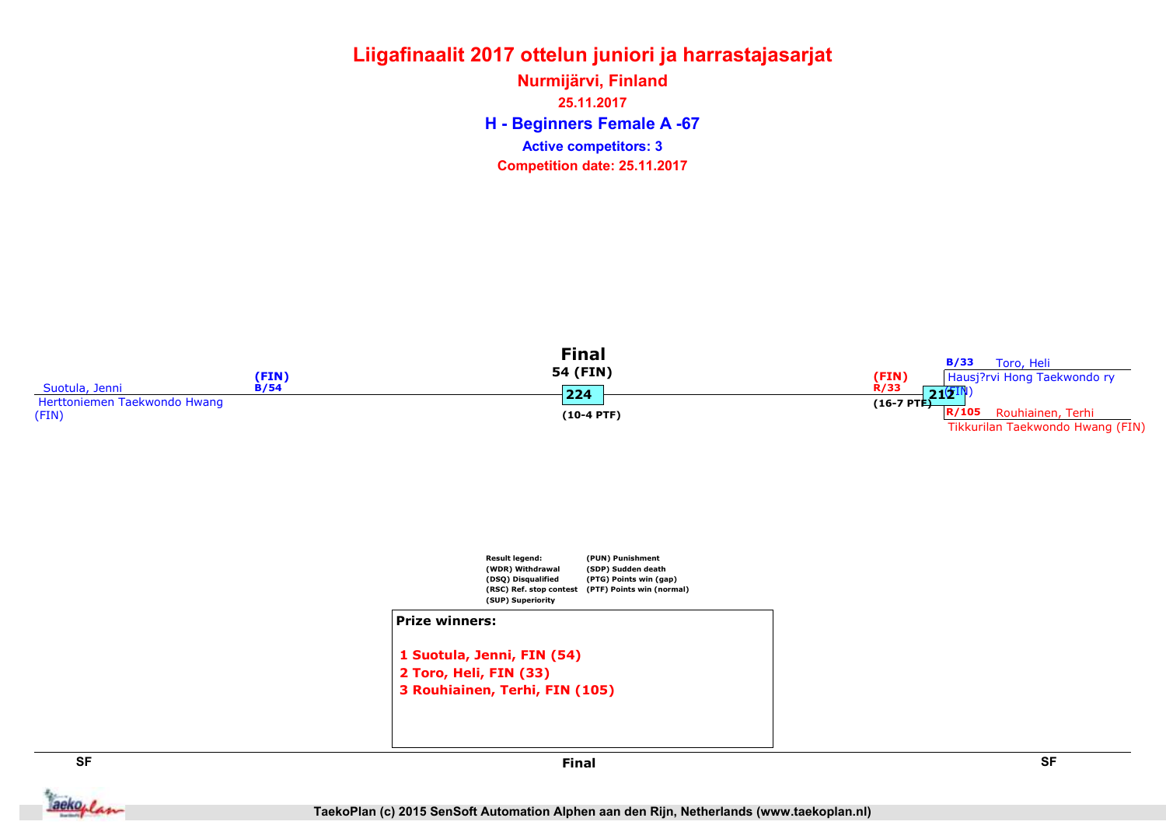H - Beginners Female A -67 Nurmijärvi, Finland 25.11.2017 Competition date: 25.11.2017 Active competitors: 3





#### Prize winners:

```
1 Suotula, Jenni, FIN (54)
2 Toro, Heli, FIN (33)
3 Rouhiainen, Terhi, FIN (105)
```


aekoplan

SF SF Final

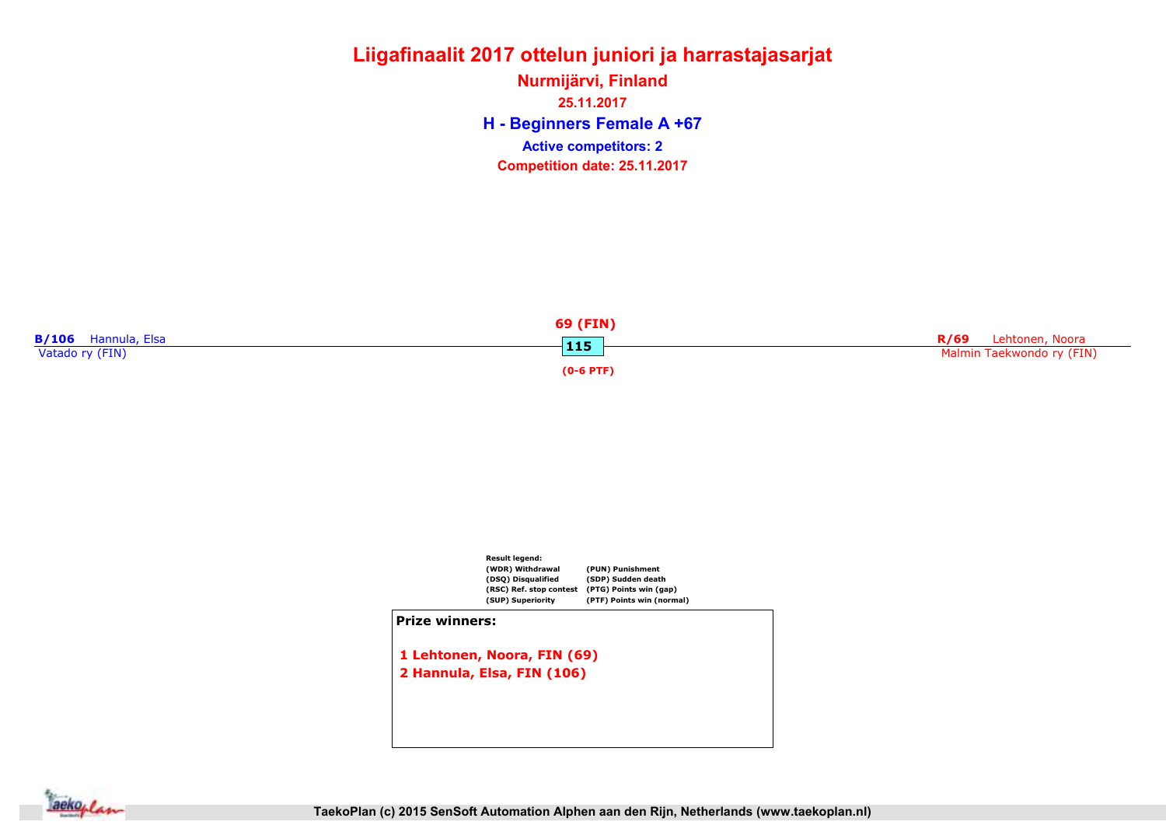### Liigafinaalit 2017 ottelun juniori ja harrastajasarjat Nurmijärvi, Finland

H - Beginners Female A +67 25.11.2017 Competition date: 25.11.2017 Active competitors: 2